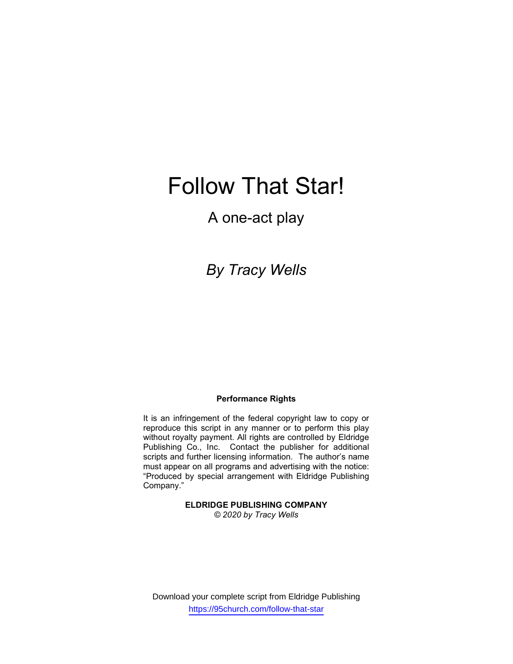# Follow That Star!

### A one-act play

## By Tracy Wells

#### Performance Rights

It is an infringement of the federal copyright law to copy or reproduce this script in any manner or to perform this play without royalty payment. All rights are controlled by Eldridge Publishing Co., Inc. Contact the publisher for additional scripts and further licensing information. The author's name must appear on all programs and advertising with the notice: "Produced by special arrangement with Eldridge Publishing Company."

> ELDRIDGE PUBLISHING COMPANY © 2020 by Tracy Wells

Download your complete script from Eldridge Publishing https://95church.com/follow-that-star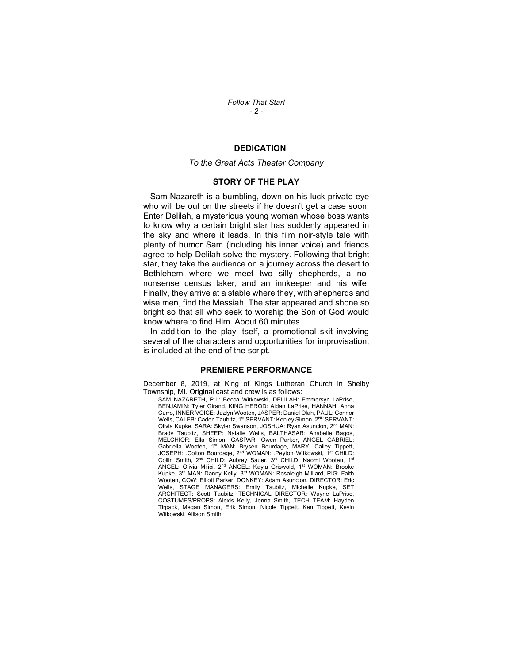Follow That Star! - 2 -

#### DEDICATION

#### To the Great Acts Theater Company

#### STORY OF THE PLAY

 Sam Nazareth is a bumbling, down-on-his-luck private eye who will be out on the streets if he doesn't get a case soon. Enter Delilah, a mysterious young woman whose boss wants to know why a certain bright star has suddenly appeared in the sky and where it leads. In this film noir-style tale with plenty of humor Sam (including his inner voice) and friends agree to help Delilah solve the mystery. Following that bright star, they take the audience on a journey across the desert to Bethlehem where we meet two silly shepherds, a nononsense census taker, and an innkeeper and his wife. Finally, they arrive at a stable where they, with shepherds and wise men, find the Messiah. The star appeared and shone so bright so that all who seek to worship the Son of God would know where to find Him. About 60 minutes.

 In addition to the play itself, a promotional skit involving several of the characters and opportunities for improvisation, is included at the end of the script.

#### PREMIERE PERFORMANCE

December 8, 2019, at King of Kings Lutheran Church in Shelby Township, MI. Original cast and crew is as follows:

SAM NAZARETH, P.I.: Becca Witkowski, DELILAH: Emmersyn LaPrise, BENJAMIN: Tyler Girand, KING HEROD: Aidan LaPrise, HANNAH: Anna Curro, INNER VOICE: Jazlyn Wooten, JASPER: Daniel Olah, PAUL: Connor Wells, CALEB: Caden Taubitz, 1<sup>st</sup> SERVANT: Kenley Simon, 2<sup>ND</sup> SERVANT: Olivia Kupke, SARA: Skyler Swanson, JOSHUA: Ryan Asuncion, 2nd MAN: Brady Taubitz, SHEEP: Natalie Wells, BALTHASAR: Anabelle Bagos, MELCHIOR: Ella Simon, GASPAR: Owen Parker, ANGEL GABRIEL: Gabriella Wooten, 1<sup>st</sup> MAN: Brysen Bourdage, MARY: Cailey Tippett, JOSEPH: .Colton Bourdage, 2<sup>nd</sup> WOMAN: .Peyton Witkowski, 1<sup>st</sup> CHILD: Collin Smith, 2<sup>nd</sup> CHILD: Aubrey Sauer, 3<sup>rd</sup> CHILD: Naomi Wooten, 1<sup>st</sup> ANGEL: Olivia Milici, 2<sup>nd</sup> ANGEL: Kayla Griswold, 1<sup>st</sup> WOMAN: Brooke Kupke, 3rd MAN: Danny Kelly, 3rd WOMAN: Rosaleigh Milliard, PIG: Faith Wooten, COW: Elliott Parker, DONKEY: Adam Asuncion, DIRECTOR: Eric Wells, STAGE MANAGERS: Emily Taubitz, Michelle Kupke, SET ARCHITECT: Scott Taubitz, TECHNICAL DIRECTOR: Wayne LaPrise, COSTUMES/PROPS: Alexis Kelly, Jenna Smith, TECH TEAM: Hayden Tirpack, Megan Simon, Erik Simon, Nicole Tippett, Ken Tippett, Kevin Witkowski, Allison Smith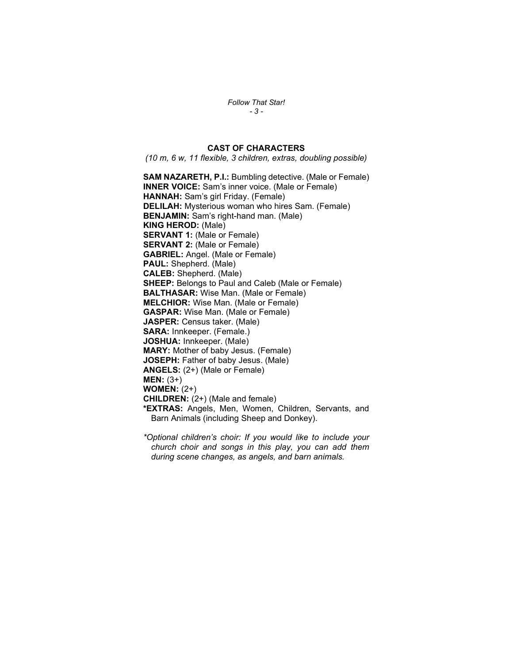Follow That Star! - 3 -

#### CAST OF CHARACTERS

(10 m, 6 w, 11 flexible, 3 children, extras, doubling possible)

SAM NAZARETH, P.I.: Bumbling detective. (Male or Female) INNER VOICE: Sam's inner voice. (Male or Female) HANNAH: Sam's girl Friday. (Female) DELILAH: Mysterious woman who hires Sam. (Female) BENJAMIN: Sam's right-hand man. (Male) KING HEROD: (Male) SERVANT 1: (Male or Female) SERVANT 2: (Male or Female) GABRIEL: Angel. (Male or Female) PAUL: Shepherd. (Male) CALEB: Shepherd. (Male) **SHEEP:** Belongs to Paul and Caleb (Male or Female) BALTHASAR: Wise Man. (Male or Female) MELCHIOR: Wise Man. (Male or Female) GASPAR: Wise Man. (Male or Female) JASPER: Census taker. (Male) SARA: Innkeeper. (Female.) JOSHUA: Innkeeper. (Male) MARY: Mother of baby Jesus. (Female) JOSEPH: Father of baby Jesus. (Male) ANGELS: (2+) (Male or Female) MEN: (3+) WOMEN: (2+) CHILDREN: (2+) (Male and female) \*EXTRAS: Angels, Men, Women, Children, Servants, and Barn Animals (including Sheep and Donkey).

\*Optional children's choir: If you would like to include your church choir and songs in this play, you can add them during scene changes, as angels, and barn animals.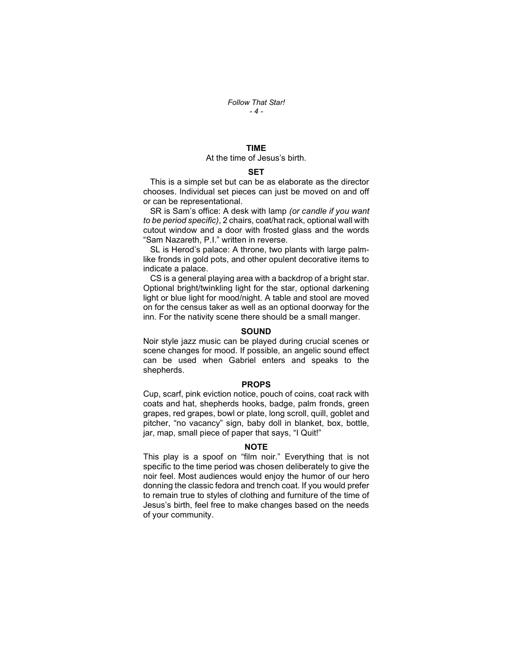#### TIME

#### At the time of Jesus's birth.

#### **SET**

 This is a simple set but can be as elaborate as the director chooses. Individual set pieces can just be moved on and off or can be representational.

SR is Sam's office: A desk with lamp (or candle if you want to be period specific), 2 chairs, coat/hat rack, optional wall with cutout window and a door with frosted glass and the words "Sam Nazareth, P.I." written in reverse.

 SL is Herod's palace: A throne, two plants with large palmlike fronds in gold pots, and other opulent decorative items to indicate a palace.

 CS is a general playing area with a backdrop of a bright star. Optional bright/twinkling light for the star, optional darkening light or blue light for mood/night. A table and stool are moved on for the census taker as well as an optional doorway for the inn. For the nativity scene there should be a small manger.

#### **SOUND**

Noir style jazz music can be played during crucial scenes or scene changes for mood. If possible, an angelic sound effect can be used when Gabriel enters and speaks to the shepherds.

#### PROPS

Cup, scarf, pink eviction notice, pouch of coins, coat rack with coats and hat, shepherds hooks, badge, palm fronds, green grapes, red grapes, bowl or plate, long scroll, quill, goblet and pitcher, "no vacancy" sign, baby doll in blanket, box, bottle, jar, map, small piece of paper that says, "I Quit!"

#### NOTE

This play is a spoof on "film noir." Everything that is not specific to the time period was chosen deliberately to give the noir feel. Most audiences would enjoy the humor of our hero donning the classic fedora and trench coat. If you would prefer to remain true to styles of clothing and furniture of the time of Jesus's birth, feel free to make changes based on the needs of your community.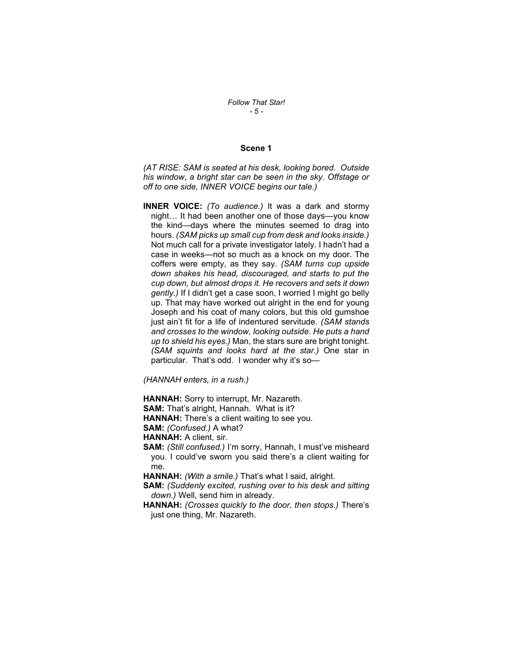#### Follow That Star! - 5 -

#### Scene 1

(AT RISE: SAM is seated at his desk, looking bored. Outside his window, a bright star can be seen in the sky. Offstage or off to one side, INNER VOICE begins our tale.)

**INNER VOICE:** (To audience.) It was a dark and stormy night… It had been another one of those days—you know the kind—days where the minutes seemed to drag into hours. (SAM picks up small cup from desk and looks inside.) Not much call for a private investigator lately. I hadn't had a case in weeks—not so much as a knock on my door. The coffers were empty, as they say. (SAM turns cup upside down shakes his head, discouraged, and starts to put the cup down, but almost drops it. He recovers and sets it down gently.) If I didn't get a case soon, I worried I might go belly up. That may have worked out alright in the end for young Joseph and his coat of many colors, but this old gumshoe just ain't fit for a life of indentured servitude. (SAM stands and crosses to the window, looking outside. He puts a hand up to shield his eyes.) Man, the stars sure are bright tonight. (SAM squints and looks hard at the star.) One star in particular. That's odd. I wonder why it's so-

(HANNAH enters, in a rush.)

HANNAH: Sorry to interrupt, Mr. Nazareth.

SAM: That's alright, Hannah. What is it?

HANNAH: There's a client waiting to see you.

SAM: (Confused.) A what?

HANNAH: A client, sir.

SAM: (Still confused.) I'm sorry, Hannah, I must've misheard you. I could've sworn you said there's a client waiting for me.

HANNAH: (With a smile.) That's what I said, alright.

- SAM: (Suddenly excited, rushing over to his desk and sitting down.) Well, send him in already.
- HANNAH: (Crosses quickly to the door, then stops.) There's just one thing, Mr. Nazareth.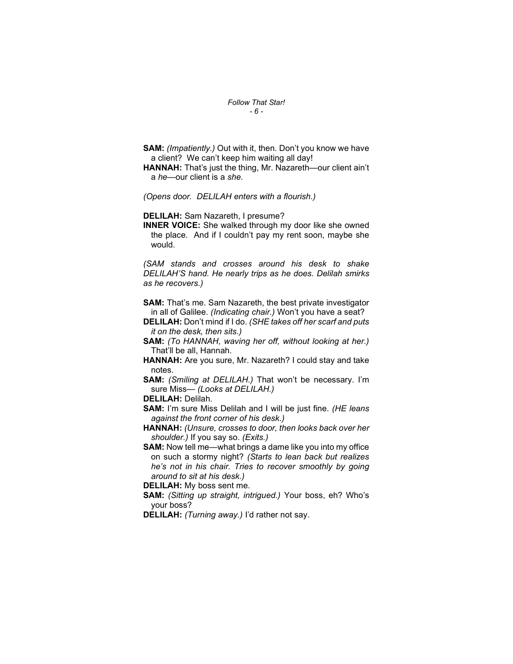#### Follow That Star! - 6 -

- SAM: (Impatiently.) Out with it, then. Don't you know we have a client? We can't keep him waiting all day!
- HANNAH: That's just the thing, Mr. Nazareth—our client ain't a he—our client is a she.

(Opens door. DELILAH enters with a flourish.)

DELILAH: Sam Nazareth, I presume?

INNER VOICE: She walked through my door like she owned the place. And if I couldn't pay my rent soon, maybe she would.

(SAM stands and crosses around his desk to shake DELILAH'S hand. He nearly trips as he does. Delilah smirks as he recovers.)

**SAM:** That's me. Sam Nazareth, the best private investigator in all of Galilee. (Indicating chair.) Won't you have a seat?

DELILAH: Don't mind if I do. (SHE takes off her scarf and puts it on the desk, then sits.)

- SAM: (To HANNAH, waving her off, without looking at her.) That'll be all, Hannah.
- HANNAH: Are you sure, Mr. Nazareth? I could stay and take notes.

SAM: (Smiling at DELILAH.) That won't be necessary. I'm sure Miss— (Looks at DELILAH.)

DELILAH: Delilah.

SAM: I'm sure Miss Delilah and I will be just fine. (HE leans against the front corner of his desk.)

HANNAH: (Unsure, crosses to door, then looks back over her shoulder.) If you say so. (Exits.)

SAM: Now tell me—what brings a dame like you into my office on such a stormy night? (Starts to lean back but realizes he's not in his chair. Tries to recover smoothly by going around to sit at his desk.)

DELILAH: My boss sent me.

- SAM: (Sitting up straight, intrigued.) Your boss, eh? Who's your boss?
- DELILAH: (Turning away.) I'd rather not say.